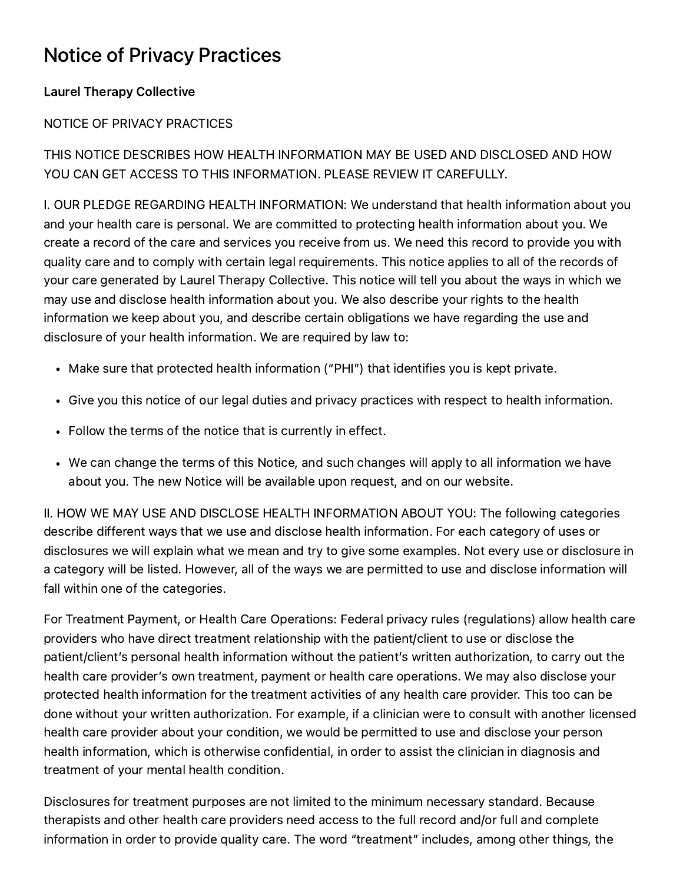## Notice of Privacy Practices

## Laurel Therapy Collective

## NOTICE OF PRIVACY PRACTICES

THIS NOTICE DESCRIBES HOW HEALTH INFORMATION MAY BE USED AND DISCLOSED AND HOW YOU CAN GET ACCESS TO THIS INFORMATION. PLEASE REVIEW IT CAREFULLY.

I. OUR PLEDGE REGARDING HEALTH INFORMATION: We understand that health information about you and your health care is personal. We are committed to protecting health information about you. We create a record of the care and services you receive from us. We need this record to provide you with quality care and to comply with certain legal requirements. This notice applies to all of the records of your care generated by Laurel Therapy Collective. This notice will tell you about the ways in which we may use and disclose health information about you. We also describe your rights to the health information we keep about you, and describe certain obligations we have regarding the use and disclosure of your health information. We are required by law to:

- Make sure that protected health information ("PHI") that identifies you is kept private.
- Give you this notice of our legal duties and privacy practices with respect to health information.
- Follow the terms of the notice that is currently in effect.
- We can change the terms of this Notice, and such changes will apply to all information we have about you. The new Notice will be available upon request, and on our website.

II. HOW WE MAY USE AND DISCLOSE HEALTH INFORMATION ABOUT YOU: The following categories describe different ways that we use and disclose health information. For each category of uses or disclosures we will explain what we mean and try to give some examples. Not every use or disclosure in a category will be listed. However, all of the ways we are permitted to use and disclose information will fall within one of the categories.

For Treatment Payment, or Health Care Operations: Federal privacy rules (regulations) allow health care providers who have direct treatment relationship with the patient/client to use or disclose the patient/client's personal health information without the patient's written authorization, to carry out the health care provider's own treatment, payment or health care operations. We may also disclose your protected health information for the treatment activities of any health care provider. This too can be done without your written authorization. For example, if a clinician were to consult with another licensed health care provider about your condition, we would be permitted to use and disclose your person health information, which is otherwise confidential, in order to assist the clinician in diagnosis and treatment of your mental health condition.

Disclosures for treatment purposes are not limited to the minimum necessary standard. Because therapists and other health care providers need access to the full record and/or full and complete information in order to provide quality care. The word "treatment" includes, among other things, the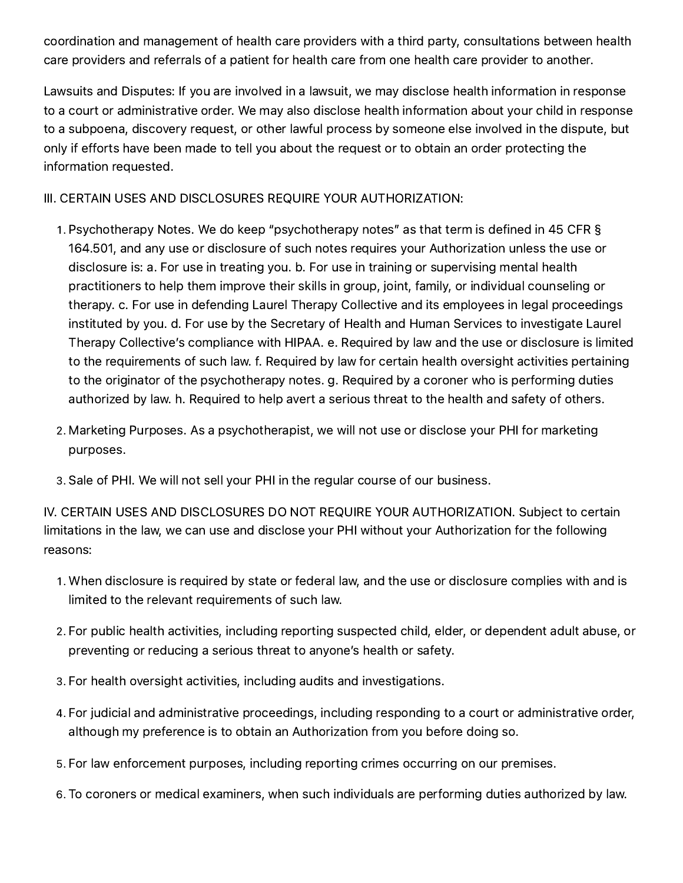coordination and management of health care providers with a third party, consultations between health care providers and referrals of a patient for health care from one health care provider to another.

Lawsuits and Disputes: If you are involved in a lawsuit, we may disclose health information in response to a court or administrative order. We may also disclose health information about your child in response to a subpoena, discovery request, or other lawful process by someone else involved in the dispute, but only if efforts have been made to tell you about the request or to obtain an order protecting the information requested.

III. CERTAIN USES AND DISCLOSURES REQUIRE YOUR AUTHORIZATION:

- . Psychotherapy Notes. We do keep "psychotherapy notes" as that term is defined in 45 CFR § 164.501, and any use or disclosure of such notes requires your Authorization unless the use or disclosure is: a. For use in treating you. b. For use in training or supervising mental health practitioners to help them improve their skills in group, joint, family, or individual counseling or therapy. c. For use in defending Laurel Therapy Collective and its employees in legal proceedings instituted by you. d. For use by the Secretary of Health and Human Services to investigate Laurel Therapy Collective's compliance with HIPAA. e. Required by law and the use or disclosure is limited to the requirements of such law. f. Required by law for certain health oversight activities pertaining to the originator of the psychotherapy notes. g. Required by a coroner who is performing duties authorized by law. h. Required to help avert a serious threat to the health and safety of others.
- . Marketing Purposes. As a psychotherapist, we will not use or disclose your PHI for marketing purposes.
- . Sale of PHI. We will not sell your PHI in the regular course of our business.

IV. CERTAIN USES AND DISCLOSURES DO NOT REQUIRE YOUR AUTHORIZATION. Subject to certain limitations in the law, we can use and disclose your PHI without your Authorization for the following reasons:

- . When disclosure is required by state or federal law, and the use or disclosure complies with and is limited to the relevant requirements of such law.
- . For public health activities, including reporting suspected child, elder, or dependent adult abuse, or preventing or reducing a serious threat to anyone's health or safety.
- . For health oversight activities, including audits and investigations.
- . For judicial and administrative proceedings, including responding to a court or administrative order, although my preference is to obtain an Authorization from you before doing so.
- . For law enforcement purposes, including reporting crimes occurring on our premises.
- . To coroners or medical examiners, when such individuals are performing duties authorized by law.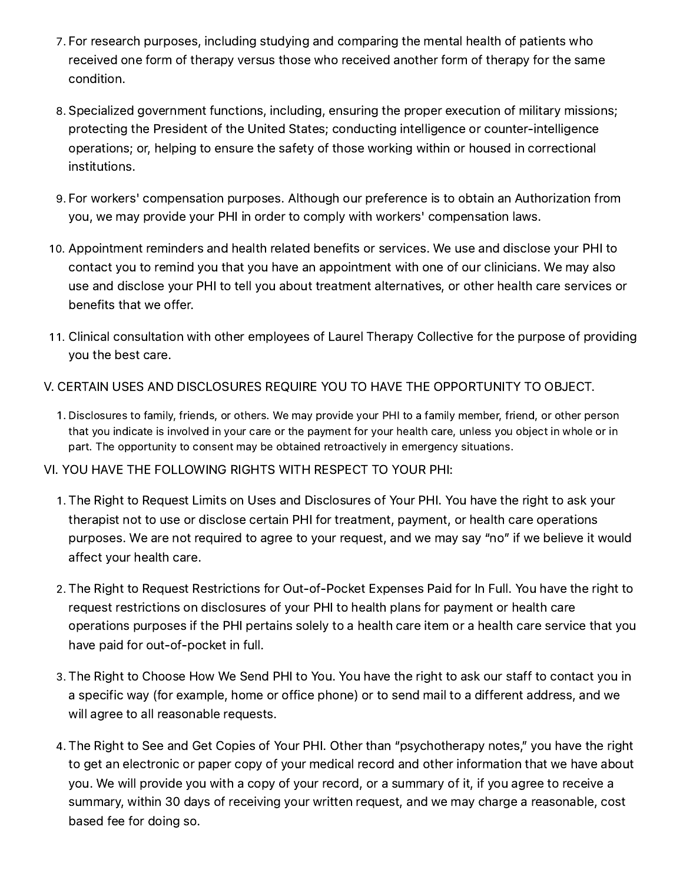- . For research purposes, including studying and comparing the mental health of patients who received one form of therapy versus those who received another form of therapy for the same condition.
- . Specialized government functions, including, ensuring the proper execution of military missions; protecting the President of the United States; conducting intelligence or counter-intelligence operations; or, helping to ensure the safety of those working within or housed in correctional institutions.
- . For workers' compensation purposes. Although our preference is to obtain an Authorization from you, we may provide your PHI in order to comply with workers' compensation laws.
- . Appointment reminders and health related benefits or services. We use and disclose your PHI to contact you to remind you that you have an appointment with one of our clinicians. We may also use and disclose your PHI to tell you about treatment alternatives, or other health care services or benefits that we offer.
- . Clinical consultation with other employees of Laurel Therapy Collective for the purpose of providing you the best care.
- V. CERTAIN USES AND DISCLOSURES REQUIRE YOU TO HAVE THE OPPORTUNITY TO OBJECT.
	- . Disclosures to family, friends, or others. We may provide your PHI to a family member, friend, or other person that you indicate is involved in your care or the payment for your health care, unless you object in whole or in part. The opportunity to consent may be obtained retroactively in emergency situations.
- VI. YOU HAVE THE FOLLOWING RIGHTS WITH RESPECT TO YOUR PHI:
	- . The Right to Request Limits on Uses and Disclosures of Your PHI. You have the right to ask your therapist not to use or disclose certain PHI for treatment, payment, or health care operations purposes. We are not required to agree to your request, and we may say "no" if we believe it would affect your health care.
	- . The Right to Request Restrictions for Out-of-Pocket Expenses Paid for In Full. You have the right to request restrictions on disclosures of your PHI to health plans for payment or health care operations purposes if the PHI pertains solely to a health care item or a health care service that you have paid for out-of-pocket in full.
	- . The Right to Choose How We Send PHI to You. You have the right to ask our staff to contact you in a specific way (for example, home or office phone) or to send mail to a different address, and we will agree to all reasonable requests.
	- . The Right to See and Get Copies of Your PHI. Other than "psychotherapy notes," you have the right to get an electronic or paper copy of your medical record and other information that we have about you. We will provide you with a copy of your record, or a summary of it, if you agree to receive a summary, within 30 days of receiving your written request, and we may charge a reasonable, cost based fee for doing so.